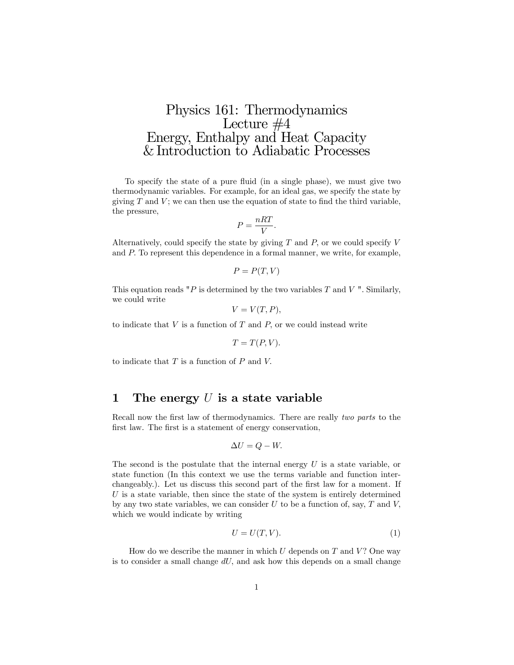# Physics 161: Thermodynamics Lecture #4 Energy, Enthalpy and Heat Capacity & Introduction to Adiabatic Processes

To specify the state of a pure fluid (in a single phase), we must give two thermodynamic variables. For example, for an ideal gas, we specify the state by giving  $T$  and  $V$ ; we can then use the equation of state to find the third variable, the pressure,

$$
P = \frac{nRT}{V}.
$$

Alternatively, could specify the state by giving  $T$  and  $P$ , or we could specify  $V$ and P: To represent this dependence in a formal manner, we write, for example,

$$
P = P(T, V)
$$

This equation reads "P is determined by the two variables  $T$  and  $V$ ". Similarly, we could write

$$
V = V(T, P),
$$

to indicate that  $V$  is a function of  $T$  and  $P$ , or we could instead write

$$
T = T(P, V).
$$

to indicate that  $T$  is a function of  $P$  and  $V$ .

## 1 The energy  $U$  is a state variable

Recall now the first law of thermodynamics. There are really *two parts* to the first law. The first is a statement of energy conservation,

$$
\Delta U = Q - W.
$$

The second is the postulate that the internal energy  $U$  is a state variable, or state function (In this context we use the terms variable and function interchangeably.). Let us discuss this second part of the first law for a moment. If  $U$  is a state variable, then since the state of the system is entirely determined by any two state variables, we can consider  $U$  to be a function of, say,  $T$  and  $V$ . which we would indicate by writing

$$
U = U(T, V). \tag{1}
$$

How do we describe the manner in which  $U$  depends on  $T$  and  $V$ ? One way is to consider a small change  $dU$ , and ask how this depends on a small change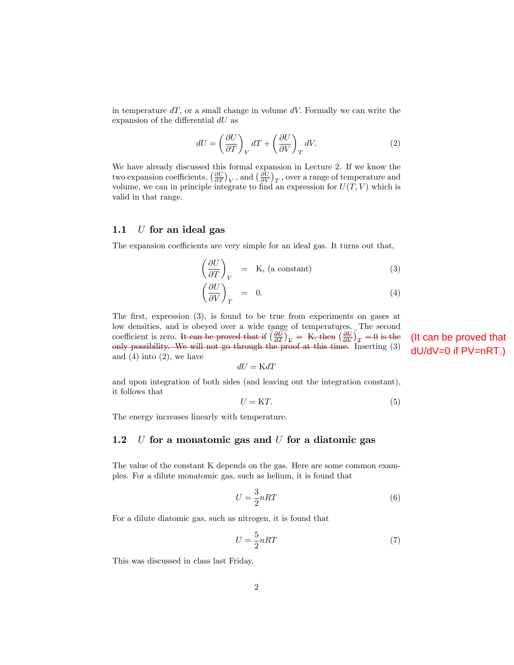in temperature  $dT$ , or a small change in volume  $dV$ . Formally we can write the expansion of the differential  $dU$  as

$$
dU = \left(\frac{\partial U}{\partial T}\right)_V dT + \left(\frac{\partial U}{\partial V}\right)_T dV.
$$
 (2)

We have already discussed this formal expansion in Lecture 2. If we know the two expansion coefficients,  $\left(\frac{\partial U}{\partial T}\right)_V$ , and  $\left(\frac{\partial U}{\partial V}\right)_T$ , over a range of temperature and volume, we can in principle integrate to find an expression for  $U(T, V)$  which is valid in that range.

#### 1.1  $U$  for an ideal gas

The expansion coefficients are very simple for an ideal gas. It turns out that,

$$
\left(\frac{\partial U}{\partial T}\right)_V = \text{K, (a constant)}\tag{3}
$$
\n
$$
\left(\frac{\partial U}{\partial V}\right)_T = 0.
$$
\n(4)

The first, expression  $(3)$ , is found to be true from experiments on gases at low densities, and is obeyed over a wide range of temperatures. The second coefficient is zero. It can be proved that if  $\left(\frac{\partial \bar{U}}{\partial T}\right)_V = K$ , then  $\left(\frac{\partial U}{\partial V}\right)_T = 0$  is the only possibility. We will not go through the proof at this time. Inserting (3) and  $(4)$  into  $(2)$ , we have

$$
dU = {\mathrm K} dT
$$

and upon integration of both sides (and leaving out the integration constant), it follows that

$$
U = KT.
$$
 (5)

The energy increases linearly with temperature.

### 1.2  $U$  for a monatomic gas and  $U$  for a diatomic gas

The value of the constant K depends on the gas. Here are some common examples. For a dilute monatomic gas, such as helium, it is found that

$$
U = \frac{3}{2}nRT\tag{6}
$$

For a dilute diatomic gas, such as nitrogen, it is found that

$$
U = \frac{5}{2}nRT\tag{7}
$$

This was discussed in class last Friday.

(It can be proved that dU/dV=0 if PV=nRT.)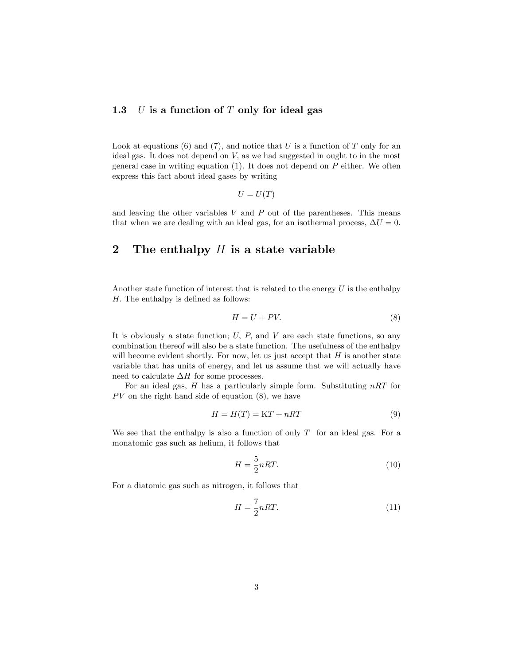### 1.3  $U$  is a function of  $T$  only for ideal gas

Look at equations (6) and (7), and notice that  $U$  is a function of  $T$  only for an ideal gas. It does not depend on  $V$ , as we had suggested in ought to in the most general case in writing equation  $(1)$ . It does not depend on  $P$  either. We often express this fact about ideal gases by writing

$$
U = U(T)
$$

and leaving the other variables  $V$  and  $P$  out of the parentheses. This means that when we are dealing with an ideal gas, for an isothermal process,  $\Delta U = 0$ .

# 2 The enthalpy  $H$  is a state variable

Another state function of interest that is related to the energy  $U$  is the enthalpy  $H.$  The enthalpy is defined as follows:

$$
H = U + PV.\t\t(8)
$$

It is obviously a state function;  $U$ ,  $P$ , and  $V$  are each state functions, so any combination thereof will also be a state function. The usefulness of the enthalpy will become evident shortly. For now, let us just accept that  $H$  is another state variable that has units of energy, and let us assume that we will actually have need to calculate  $\Delta H$  for some processes.

For an ideal gas,  $H$  has a particularly simple form. Substituting  $nRT$  for  $PV$  on the right hand side of equation  $(8)$ , we have

$$
H = H(T) = KT + nRT
$$
\n(9)

We see that the enthalpy is also a function of only  $T$  for an ideal gas. For a monatomic gas such as helium, it follows that

$$
H = \frac{5}{2}nRT.
$$
\n<sup>(10)</sup>

For a diatomic gas such as nitrogen, it follows that

$$
H = \frac{7}{2}nRT.
$$
\n(11)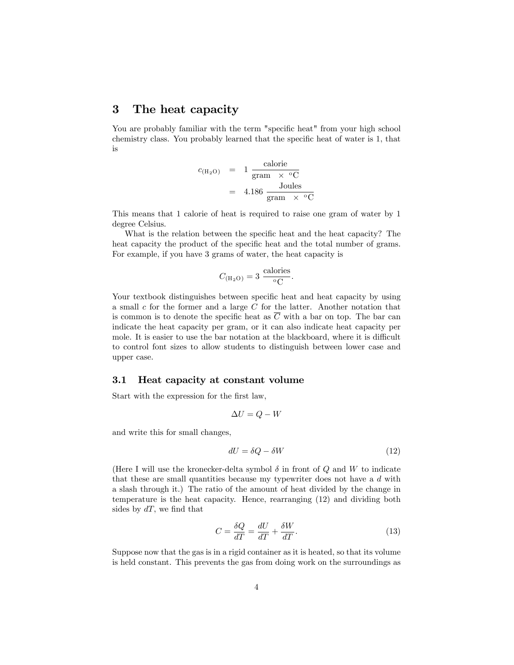### 3 The heat capacity

You are probably familiar with the term "specific heat" from your high school chemistry class. You probably learned that the specific heat of water is 1, that is

$$
c_{(\text{H}_2\text{O})} = 1 \frac{\text{calorie}}{\text{gram} \times {}^{\text{o}}\text{C}}
$$
  
= 4.186 \frac{\text{Joules}}{\text{gram} \times {}^{\text{o}}\text{C}}

This means that 1 calorie of heat is required to raise one gram of water by 1 degree Celsius.

What is the relation between the specific heat and the heat capacity? The heat capacity the product of the specific heat and the total number of grams. For example, if you have 3 grams of water, the heat capacity is

$$
C_{\text{(H2O)}} = 3 \frac{\text{calories}}{\text{°C}}.
$$

Your textbook distinguishes between specific heat and heat capacity by using a small  $c$  for the former and a large  $C$  for the latter. Another notation that is common is to denote the specific heat as  $C$  with a bar on top. The bar can indicate the heat capacity per gram, or it can also indicate heat capacity per mole. It is easier to use the bar notation at the blackboard, where it is difficult to control font sizes to allow students to distinguish between lower case and upper case.

#### 3.1 Heat capacity at constant volume

Start with the expression for the first law,

$$
\Delta U = Q - W
$$

and write this for small changes,

$$
dU = \delta Q - \delta W \tag{12}
$$

(Here I will use the kronecker-delta symbol  $\delta$  in front of Q and W to indicate that these are small quantities because my typewriter does not have a d with a slash through it.) The ratio of the amount of heat divided by the change in temperature is the heat capacity. Hence, rearranging (12) and dividing both sides by  $dT$ , we find that

$$
C = \frac{\delta Q}{dT} = \frac{dU}{dT} + \frac{\delta W}{dT}.
$$
\n(13)

Suppose now that the gas is in a rigid container as it is heated, so that its volume is held constant. This prevents the gas from doing work on the surroundings as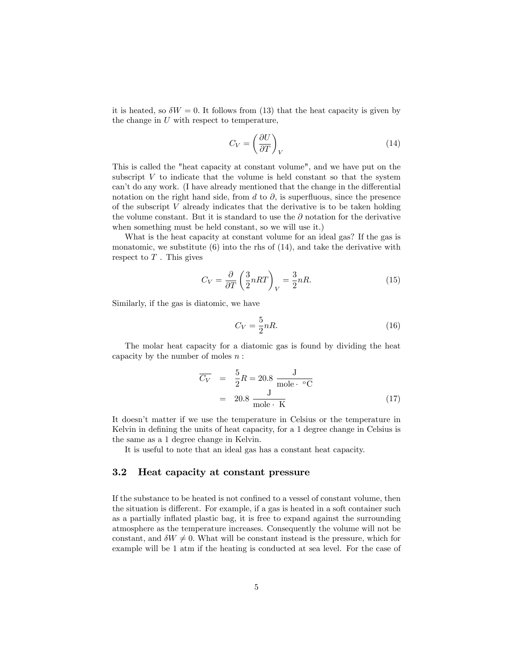it is heated, so  $\delta W = 0$ . It follows from (13) that the heat capacity is given by the change in  $U$  with respect to temperature,

$$
C_V = \left(\frac{\partial U}{\partial T}\right)_V\tag{14}
$$

This is called the "heat capacity at constant volume", and we have put on the subscript  $V$  to indicate that the volume is held constant so that the system can't do any work. (I have already mentioned that the change in the differential notation on the right hand side, from d to  $\partial$ , is superfluous, since the presence of the subscript  $V$  already indicates that the derivative is to be taken holding the volume constant. But it is standard to use the  $\partial$  notation for the derivative when something must be held constant, so we will use it.)

What is the heat capacity at constant volume for an ideal gas? If the gas is monatomic, we substitute  $(6)$  into the rhs of  $(14)$ , and take the derivative with respect to  $T$ . This gives

$$
C_V = \frac{\partial}{\partial T} \left( \frac{3}{2} nRT \right)_V = \frac{3}{2} nR. \tag{15}
$$

Similarly, if the gas is diatomic, we have

$$
C_V = \frac{5}{2}nR.\t\t(16)
$$

The molar heat capacity for a diatomic gas is found by dividing the heat capacity by the number of moles  $n$ :

$$
\overline{C_V} = \frac{5}{2}R = 20.8 \frac{J}{\text{mole} \cdot {}^{\circ}\text{C}}
$$
  
= 20.8 \frac{J}{\text{mole} \cdot K} (17)

It doesn't matter if we use the temperature in Celsius or the temperature in Kelvin in defining the units of heat capacity, for a 1 degree change in Celsius is the same as a 1 degree change in Kelvin.

It is useful to note that an ideal gas has a constant heat capacity.

### 3.2 Heat capacity at constant pressure

If the substance to be heated is not confined to a vessel of constant volume, then the situation is different. For example, if a gas is heated in a soft container such as a partially ináated plastic bag, it is free to expand against the surrounding atmosphere as the temperature increases. Consequently the volume will not be constant, and  $\delta W \neq 0$ . What will be constant instead is the pressure, which for example will be 1 atm if the heating is conducted at sea level. For the case of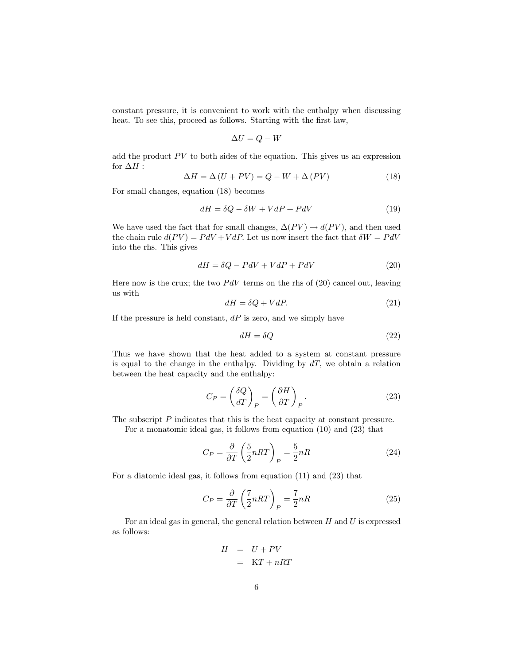constant pressure, it is convenient to work with the enthalpy when discussing heat. To see this, proceed as follows. Starting with the first law,

$$
\Delta U = Q - W
$$

add the product  $PV$  to both sides of the equation. This gives us an expression for  $\Delta H$  :

$$
\Delta H = \Delta (U + PV) = Q - W + \Delta (PV)
$$
\n(18)

For small changes, equation (18) becomes

$$
dH = \delta Q - \delta W + VdP + PdV \tag{19}
$$

We have used the fact that for small changes,  $\Delta(PV) \rightarrow d(PV)$ , and then used the chain rule  $d(PV) = PdV + VdP$ . Let us now insert the fact that  $\delta W = PdV$ into the rhs. This gives

$$
dH = \delta Q - PdV + VdP + PdV \tag{20}
$$

Here now is the crux; the two  $PdV$  terms on the rhs of (20) cancel out, leaving us with

$$
dH = \delta Q + VdP. \tag{21}
$$

If the pressure is held constant,  $dP$  is zero, and we simply have

$$
dH = \delta Q \tag{22}
$$

Thus we have shown that the heat added to a system at constant pressure is equal to the change in the enthalpy. Dividing by  $dT$ , we obtain a relation between the heat capacity and the enthalpy:

$$
C_P = \left(\frac{\delta Q}{dT}\right)_P = \left(\frac{\partial H}{\partial T}\right)_P.
$$
\n(23)

The subscript P indicates that this is the heat capacity at constant pressure.

For a monatomic ideal gas, it follows from equation (10) and (23) that

$$
C_P = \frac{\partial}{\partial T} \left( \frac{5}{2} nRT \right)_P = \frac{5}{2} nR \tag{24}
$$

For a diatomic ideal gas, it follows from equation (11) and (23) that

$$
C_P = \frac{\partial}{\partial T} \left( \frac{7}{2} nRT \right)_P = \frac{7}{2} nR \tag{25}
$$

For an ideal gas in general, the general relation between  $H$  and  $U$  is expressed as follows:

$$
H = U + PV
$$

$$
= KT + nRT
$$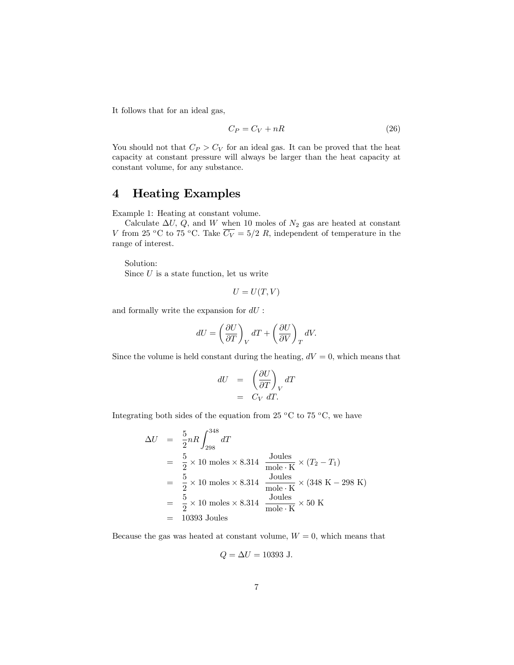It follows that for an ideal gas,

$$
C_P = C_V + nR \tag{26}
$$

You should not that  $C_P > C_V$  for an ideal gas. It can be proved that the heat capacity at constant pressure will always be larger than the heat capacity at constant volume, for any substance.

# 4 Heating Examples

Example 1: Heating at constant volume.

Calculate  $\Delta U$ , Q, and W when 10 moles of  $N_2$  gas are heated at constant V from 25 °C to 75 °C. Take  $\overline{C_V} = 5/2 R$ , independent of temperature in the range of interest.

Solution: Since  $U$  is a state function, let us write

$$
U=U(T,V)
$$

and formally write the expansion for  $dU$  :

$$
dU = \left(\frac{\partial U}{\partial T}\right)_V dT + \left(\frac{\partial U}{\partial V}\right)_T dV.
$$

Since the volume is held constant during the heating,  $dV = 0$ , which means that

$$
dU = \left(\frac{\partial U}{\partial T}\right)_V dT
$$

$$
= C_V dT.
$$

Integrating both sides of the equation from 25  $\rm{^oC}$  to 75  $\rm{^oC}$ , we have

$$
\Delta U = \frac{5}{2} nR \int_{298}^{348} dT
$$
  
=  $\frac{5}{2} \times 10$  moles × 8.314  $\frac{\text{Joules}}{\text{mole} \cdot \text{K}} \times (T_2 - T_1)$   
=  $\frac{5}{2} \times 10$  moles × 8.314  $\frac{\text{Joules}}{\text{mole} \cdot \text{K}} \times (348 \text{ K} - 298 \text{ K})$   
=  $\frac{5}{2} \times 10$  moles × 8.314  $\frac{\text{Joules}}{\text{mole} \cdot \text{K}} \times 50 \text{ K}$   
= 10393 Joules

Because the gas was heated at constant volume,  $W = 0$ , which means that

$$
Q = \Delta U = 10393 \text{ J}.
$$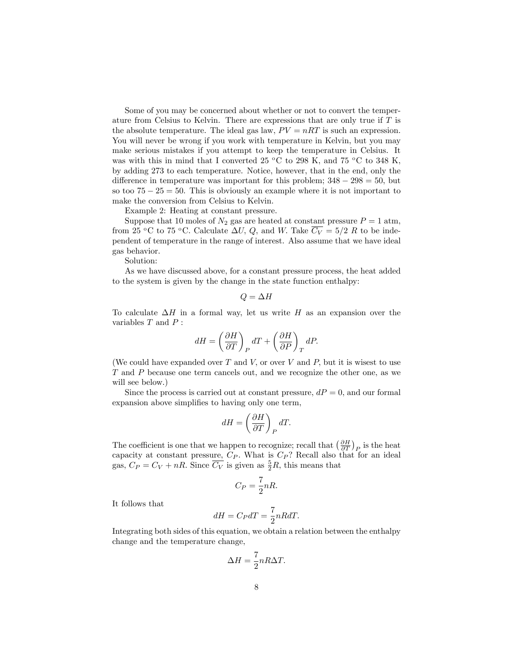Some of you may be concerned about whether or not to convert the temperature from Celsius to Kelvin. There are expressions that are only true if T is the absolute temperature. The ideal gas law,  $PV = nRT$  is such an expression. You will never be wrong if you work with temperature in Kelvin, but you may make serious mistakes if you attempt to keep the temperature in Celsius. It was with this in mind that I converted 25  $\rm{^oC}$  to 298 K, and 75  $\rm{^oC}$  to 348 K, by adding 273 to each temperature. Notice, however, that in the end, only the difference in temperature was important for this problem;  $348 - 298 = 50$ , but so too  $75 - 25 = 50$ . This is obviously an example where it is not important to make the conversion from Celsius to Kelvin.

Example 2: Heating at constant pressure.

Suppose that 10 moles of  $N_2$  gas are heated at constant pressure  $P = 1$  atm, from 25 °C to 75 °C. Calculate  $\Delta U$ , Q, and W. Take  $\overline{C_V} = 5/2$  R to be independent of temperature in the range of interest. Also assume that we have ideal gas behavior.

Solution:

As we have discussed above, for a constant pressure process, the heat added to the system is given by the change in the state function enthalpy:

$$
Q=\Delta H
$$

To calculate  $\Delta H$  in a formal way, let us write H as an expansion over the variables  $T$  and  $P$ :

$$
dH = \left(\frac{\partial H}{\partial T}\right)_P dT + \left(\frac{\partial H}{\partial P}\right)_T dP.
$$

(We could have expanded over  $T$  and  $V$ , or over  $V$  and  $P$ , but it is wisest to use T and P because one term cancels out, and we recognize the other one, as we will see below.)

Since the process is carried out at constant pressure,  $dP = 0$ , and our formal expansion above simplifies to having only one term,

$$
dH = \left(\frac{\partial H}{\partial T}\right)_P dT.
$$

The coefficient is one that we happen to recognize; recall that  $\left(\frac{\partial H}{\partial T}\right)_P$  is the heat capacity at constant pressure,  $C_P$ . What is  $C_P$ ? Recall also that for an ideal gas,  $C_P = C_V + nR$ . Since  $\overline{C_V}$  is given as  $\frac{5}{2}R$ , this means that

$$
C_P = \frac{7}{2}nR.
$$

It follows that

$$
dH = C_P dT = \frac{7}{2} nR dT.
$$

Integrating both sides of this equation, we obtain a relation between the enthalpy change and the temperature change,

$$
\Delta H = \frac{7}{2} n R \Delta T.
$$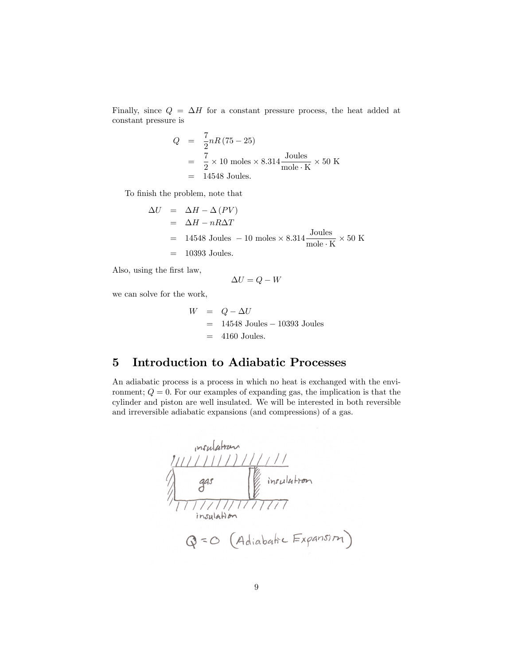Finally, since  $Q = \Delta H$  for a constant pressure process, the heat added at constant pressure is

$$
Q = \frac{7}{2}nR(75-25)
$$
  
=  $\frac{7}{2} \times 10$  moles × 8.314  $\frac{\text{Joules}}{\text{mole} \cdot \text{K}} \times 50 \text{ K}$   
= 14548 Joules.

To finish the problem, note that

$$
\Delta U = \Delta H - \Delta (PV)
$$
  
=  $\Delta H - nR\Delta T$   
= 14548 Joules - 10 moles × 8.314  $\frac{\text{Joules}}{\text{mole} \cdot \text{K}} \times 50 \text{ K}$   
= 10393 Joules.

Also, using the first law,

$$
\Delta U = Q - W
$$

we can solve for the work,

$$
W = Q - \Delta U
$$
  
= 14548 Joules - 10393 Joules  
= 4160 Joules.

# 5 Introduction to Adiabatic Processes

An adiabatic process is a process in which no heat is exchanged with the environment;  $Q = 0$ . For our examples of expanding gas, the implication is that the cylinder and piston are well insulated. We will be interested in both reversible and irreversible adiabatic expansions (and compressions) of a gas.

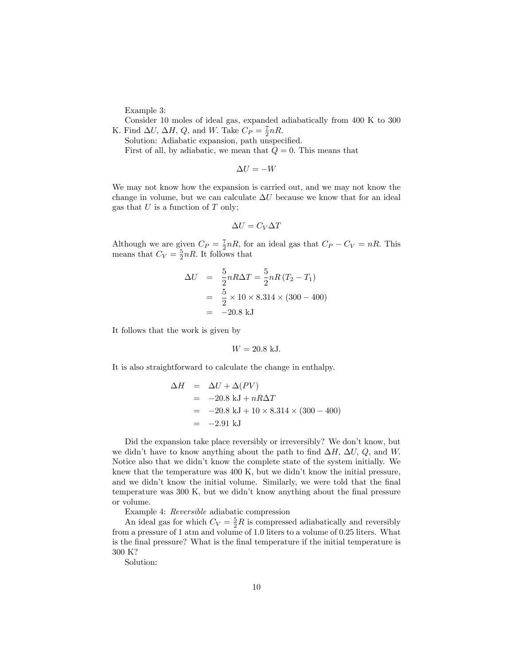Example 3:

Consider 10 moles of ideal gas, expanded adiabatically from 400 K to 300 K. Find  $\Delta U$ ,  $\Delta H$ , Q, and W. Take  $C_P = \frac{7}{2} nR$ .

Solution: Adiabatic expansion, path unspecified. First of all, by adiabatic, we mean that  $Q = 0$ . This means that

$$
\Delta U = -W
$$

We may not know how the expansion is carried out, and we may not know the change in volume, but we can calculate  $\Delta U$  because we know that for an ideal gas that  $U$  is a function of  $T$  only;

$$
\Delta U = C_V \Delta T
$$

Although we are given  $C_P = \frac{7}{2} nR$ , for an ideal gas that  $C_P - C_V = nR$ . This means that  $C_V = \frac{5}{2} nR$ . It follows that

$$
\Delta U = \frac{5}{2} nR\Delta T = \frac{5}{2} nR (T_2 - T_1)
$$
  
=  $\frac{5}{2} \times 10 \times 8.314 \times (300 - 400)$   
= -20.8 kJ

It follows that the work is given by

$$
W = 20.8 \text{ kJ}.
$$

It is also straightforward to calculate the change in enthalpy.

$$
\Delta H = \Delta U + \Delta (PV)
$$
  
= -20.8 kJ + nR\Delta T  
= -20.8 kJ + 10 \times 8.314 \times (300 - 400)  
= -2.91 kJ

Did the expansion take place reversibly or irreversibly? We don't know, but we didn't have to know anything about the path to find  $\Delta H$ ;  $\Delta U$ , Q; and W. Notice also that we didn't know the complete state of the system initially. We knew that the temperature was 400 K, but we didn't know the initial pressure, and we didn't know the initial volume. Similarly, we were told that the final temperature was  $300 \text{ K}$ , but we didn't know anything about the final pressure or volume.

Example 4: Reversible adiabatic compression

An ideal gas for which  $C_V = \frac{5}{2}R$  is compressed adiabatically and reversibly from a pressure of 1 atm and volume of 1:0 liters to a volume of 0.25 liters. What is the final pressure? What is the final temperature if the initial temperature is 300 K?

Solution: